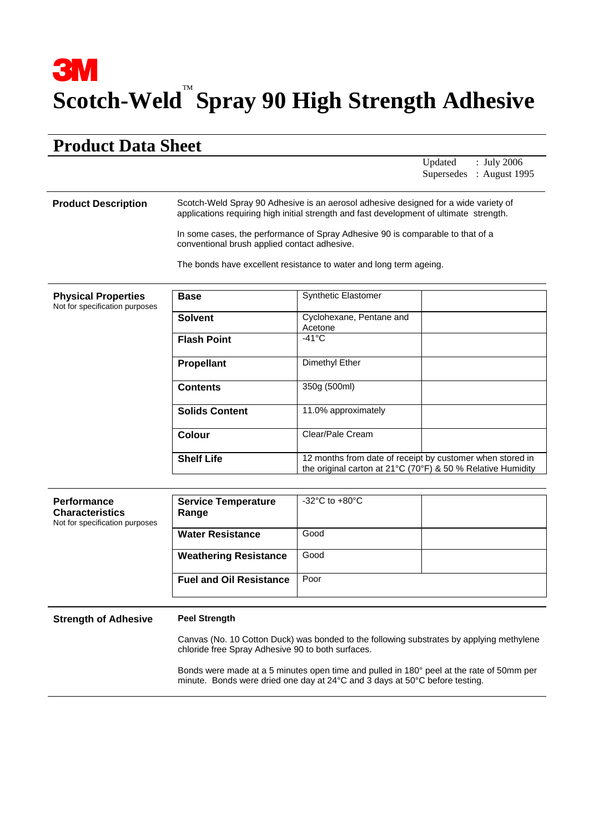## **3M Scotch-Weld** ™ **Spray 90 High Strength Adhesive**

## **Product Data Sheet**

Updated : July 2006 Supersedes : August 1995

## **Product Description** Scotch-Weld Spray 90 Adhesive is an aerosol adhesive designed for a wide variety of applications requiring high initial strength and fast development of ultimate strength.

In some cases, the performance of Spray Adhesive 90 is comparable to that of a conventional brush applied contact adhesive.

The bonds have excellent resistance to water and long term ageing.

| <b>Physical Properties</b><br>Not for specification purposes | <b>Base</b>           | <b>Synthetic Elastomer</b>                                                                                               |
|--------------------------------------------------------------|-----------------------|--------------------------------------------------------------------------------------------------------------------------|
|                                                              | <b>Solvent</b>        | Cyclohexane, Pentane and<br>Acetone                                                                                      |
|                                                              | <b>Flash Point</b>    | $-41^{\circ}$ C                                                                                                          |
|                                                              | <b>Propellant</b>     | Dimethyl Ether                                                                                                           |
|                                                              | <b>Contents</b>       | 350g (500ml)                                                                                                             |
|                                                              | <b>Solids Content</b> | 11.0% approximately                                                                                                      |
|                                                              | Colour                | Clear/Pale Cream                                                                                                         |
|                                                              | <b>Shelf Life</b>     | 12 months from date of receipt by customer when stored in<br>the original carton at 21°C (70°F) & 50 % Relative Humidity |

| <b>Performance</b><br><b>Characteristics</b><br>Not for specification purposes | <b>Service Temperature</b><br>Range | $-32^{\circ}$ C to $+80^{\circ}$ C |  |
|--------------------------------------------------------------------------------|-------------------------------------|------------------------------------|--|
|                                                                                | <b>Water Resistance</b>             | Good                               |  |
|                                                                                | <b>Weathering Resistance</b>        | Good                               |  |
|                                                                                | <b>Fuel and Oil Resistance</b>      | Poor                               |  |

**Strength of Adhesive Peel Strength** 

Canvas (No. 10 Cotton Duck) was bonded to the following substrates by applying methylene chloride free Spray Adhesive 90 to both surfaces.

Bonds were made at a 5 minutes open time and pulled in 180° peel at the rate of 50mm per minute. Bonds were dried one day at 24°C and 3 days at 50°C before testing.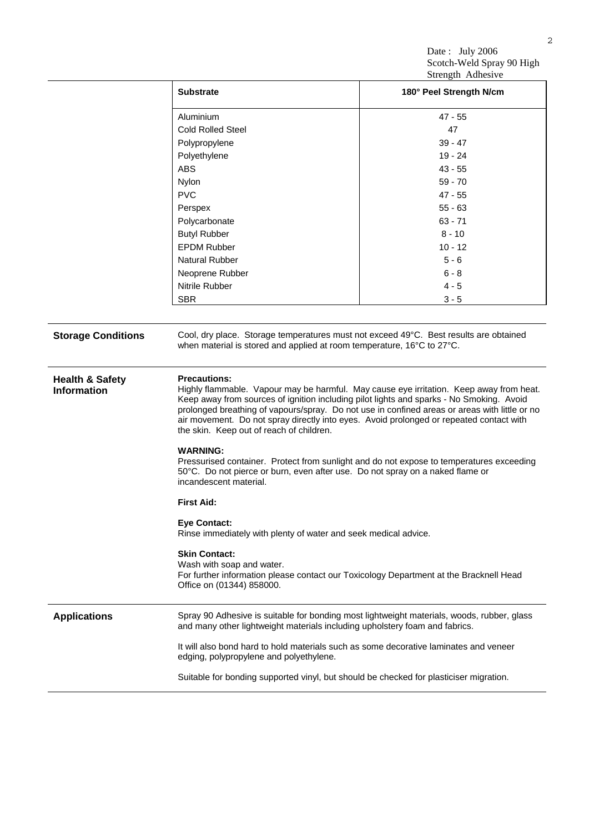Date: July 2006 Scotch-Weld Spray 90 High Strength Adhesive

|                                                  | Suchgul Aunesive                                                                                                                                                                                                                                                                                                                                                                                                                                   |                         |  |
|--------------------------------------------------|----------------------------------------------------------------------------------------------------------------------------------------------------------------------------------------------------------------------------------------------------------------------------------------------------------------------------------------------------------------------------------------------------------------------------------------------------|-------------------------|--|
|                                                  | <b>Substrate</b>                                                                                                                                                                                                                                                                                                                                                                                                                                   | 180° Peel Strength N/cm |  |
|                                                  | Aluminium                                                                                                                                                                                                                                                                                                                                                                                                                                          | $47 - 55$               |  |
|                                                  | <b>Cold Rolled Steel</b>                                                                                                                                                                                                                                                                                                                                                                                                                           | 47                      |  |
|                                                  | Polypropylene                                                                                                                                                                                                                                                                                                                                                                                                                                      | $39 - 47$               |  |
|                                                  | Polyethylene                                                                                                                                                                                                                                                                                                                                                                                                                                       | $19 - 24$               |  |
|                                                  | <b>ABS</b>                                                                                                                                                                                                                                                                                                                                                                                                                                         | $43 - 55$               |  |
|                                                  | Nylon                                                                                                                                                                                                                                                                                                                                                                                                                                              | $59 - 70$               |  |
|                                                  | <b>PVC</b>                                                                                                                                                                                                                                                                                                                                                                                                                                         | $47 - 55$               |  |
|                                                  | Perspex                                                                                                                                                                                                                                                                                                                                                                                                                                            | $55 - 63$               |  |
|                                                  | Polycarbonate                                                                                                                                                                                                                                                                                                                                                                                                                                      | $63 - 71$               |  |
|                                                  | <b>Butyl Rubber</b>                                                                                                                                                                                                                                                                                                                                                                                                                                | $8 - 10$                |  |
|                                                  | <b>EPDM Rubber</b>                                                                                                                                                                                                                                                                                                                                                                                                                                 | $10 - 12$               |  |
|                                                  | <b>Natural Rubber</b>                                                                                                                                                                                                                                                                                                                                                                                                                              | $5 - 6$                 |  |
|                                                  | Neoprene Rubber                                                                                                                                                                                                                                                                                                                                                                                                                                    | $6 - 8$                 |  |
|                                                  | Nitrile Rubber                                                                                                                                                                                                                                                                                                                                                                                                                                     | $4 - 5$                 |  |
|                                                  | <b>SBR</b>                                                                                                                                                                                                                                                                                                                                                                                                                                         | $3 - 5$                 |  |
|                                                  |                                                                                                                                                                                                                                                                                                                                                                                                                                                    |                         |  |
| <b>Storage Conditions</b>                        | Cool, dry place. Storage temperatures must not exceed 49°C. Best results are obtained<br>when material is stored and applied at room temperature, 16°C to 27°C.                                                                                                                                                                                                                                                                                    |                         |  |
| <b>Health &amp; Safety</b><br><b>Information</b> | <b>Precautions:</b><br>Highly flammable. Vapour may be harmful. May cause eye irritation. Keep away from heat.<br>Keep away from sources of ignition including pilot lights and sparks - No Smoking. Avoid<br>prolonged breathing of vapours/spray. Do not use in confined areas or areas with little or no<br>air movement. Do not spray directly into eyes. Avoid prolonged or repeated contact with<br>the skin. Keep out of reach of children. |                         |  |
|                                                  | <b>WARNING:</b><br>Pressurised container. Protect from sunlight and do not expose to temperatures exceeding<br>50°C. Do not pierce or burn, even after use. Do not spray on a naked flame or<br>incandescent material.                                                                                                                                                                                                                             |                         |  |
|                                                  | <b>First Aid:</b>                                                                                                                                                                                                                                                                                                                                                                                                                                  |                         |  |
|                                                  | <b>Eye Contact:</b><br>Rinse immediately with plenty of water and seek medical advice.                                                                                                                                                                                                                                                                                                                                                             |                         |  |
|                                                  | <b>Skin Contact:</b><br>Wash with soap and water.<br>For further information please contact our Toxicology Department at the Bracknell Head<br>Office on (01344) 858000.                                                                                                                                                                                                                                                                           |                         |  |
| <b>Applications</b>                              | Spray 90 Adhesive is suitable for bonding most lightweight materials, woods, rubber, glass<br>and many other lightweight materials including upholstery foam and fabrics.                                                                                                                                                                                                                                                                          |                         |  |
|                                                  | It will also bond hard to hold materials such as some decorative laminates and veneer<br>edging, polypropylene and polyethylene.                                                                                                                                                                                                                                                                                                                   |                         |  |
|                                                  | Suitable for bonding supported vinyl, but should be checked for plasticiser migration.                                                                                                                                                                                                                                                                                                                                                             |                         |  |
|                                                  |                                                                                                                                                                                                                                                                                                                                                                                                                                                    |                         |  |